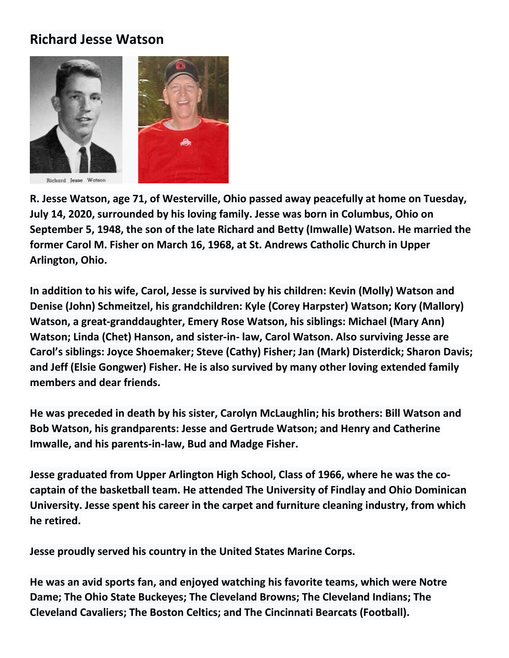## **Richard Jesse Watson**



**R. Jesse Watson, age 71, of Westerville, Ohio passed away peacefully at home on Tuesday, July 14, 2020, surrounded by his loving family. Jesse was born in Columbus, Ohio on September 5, 1948, the son of the late Richard and Betty (Imwalle) Watson. He married the former Carol M. Fisher on March 16, 1968, at St. Andrews Catholic Church in Upper Arlington, Ohio.**

**In addition to his wife, Carol, Jesse is survived by his children: Kevin (Molly) Watson and Denise (John) Schmeitzel, his grandchildren: Kyle (Corey Harpster) Watson; Kory (Mallory) Watson, a great-granddaughter, Emery Rose Watson, his siblings: Michael (Mary Ann) Watson; Linda (Chet) Hanson, and sister-in- law, Carol Watson. Also surviving Jesse are Carol's siblings: Joyce Shoemaker; Steve (Cathy) Fisher; Jan (Mark) Disterdick; Sharon Davis; and Jeff (Elsie Gongwer) Fisher. He is also survived by many other loving extended family members and dear friends.**

**He was preceded in death by his sister, Carolyn McLaughlin; his brothers: Bill Watson and Bob Watson, his grandparents: Jesse and Gertrude Watson; and Henry and Catherine Imwalle, and his parents-in-law, Bud and Madge Fisher.**

**Jesse graduated from Upper Arlington High School, Class of 1966, where he was the cocaptain of the basketball team. He attended The University of Findlay and Ohio Dominican University. Jesse spent his career in the carpet and furniture cleaning industry, from which he retired.**

**Jesse proudly served his country in the United States Marine Corps.**

**He was an avid sports fan, and enjoyed watching his favorite teams, which were Notre Dame; The Ohio State Buckeyes; The Cleveland Browns; The Cleveland Indians; The Cleveland Cavaliers; The Boston Celtics; and The Cincinnati Bearcats (Football).**